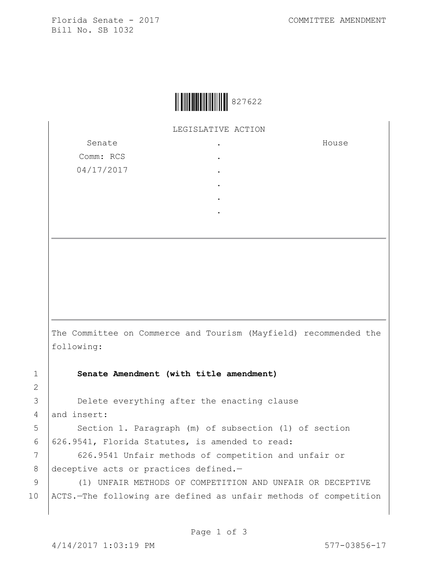Florida Senate - 2017 COMMITTEE AMENDMENT Bill No. SB 1032



LEGISLATIVE ACTION

. . .

Senate Comm: RCS 04/17/2017 House

- .
- . .

The Committee on Commerce and Tourism (Mayfield) recommended the following:

1 **Senate Amendment (with title amendment)**

3 **Delete everything after the enacting clause** 4 and insert:

5 | Section 1. Paragraph (m) of subsection (1) of section 6  $626.9541$ , Florida Statutes, is amended to read:

7 | 626.9541 Unfair methods of competition and unfair or 8 deceptive acts or practices defined.-

9 (1) UNFAIR METHODS OF COMPETITION AND UNFAIR OR DECEPTIVE 10 ACTS.—The following are defined as unfair methods of competition

2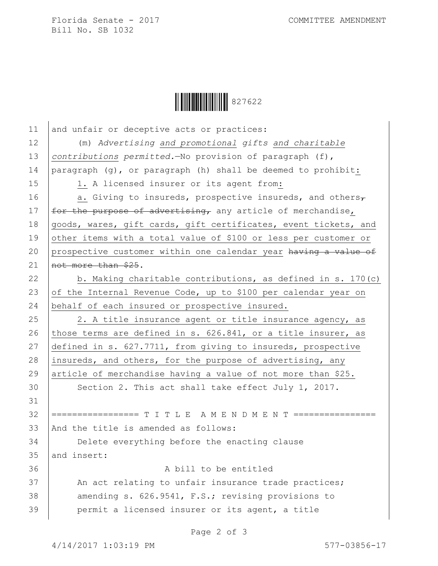Florida Senate - 2017 COMMITTEE AMENDMENT Bill No. SB 1032



| 11 | and unfair or deceptive acts or practices:                      |
|----|-----------------------------------------------------------------|
| 12 | (m) Advertising and promotional gifts and charitable            |
| 13 | contributions permitted. No provision of paragraph (f),         |
| 14 | paragraph (g), or paragraph (h) shall be deemed to prohibit:    |
| 15 | 1. A licensed insurer or its agent from:                        |
| 16 | a. Giving to insureds, prospective insureds, and others $\tau$  |
| 17 | for the purpose of advertising, any article of merchandise,     |
| 18 | goods, wares, gift cards, gift certificates, event tickets, and |
| 19 | other items with a total value of \$100 or less per customer or |
| 20 | prospective customer within one calendar year having a value of |
| 21 | not more than \$25.                                             |
| 22 | b. Making charitable contributions, as defined in s. 170(c)     |
| 23 | of the Internal Revenue Code, up to \$100 per calendar year on  |
| 24 | behalf of each insured or prospective insured.                  |
| 25 | 2. A title insurance agent or title insurance agency, as        |
| 26 | those terms are defined in s. 626.841, or a title insurer, as   |
| 27 | defined in s. 627.7711, from giving to insureds, prospective    |
| 28 | insureds, and others, for the purpose of advertising, any       |
| 29 | article of merchandise having a value of not more than \$25.    |
| 30 | Section 2. This act shall take effect July 1, 2017.             |
| 31 |                                                                 |
| 32 | ================= T I T L E A M E N D M E N T ================  |
| 33 | And the title is amended as follows:                            |
| 34 | Delete everything before the enacting clause                    |
| 35 | and insert:                                                     |
| 36 | A bill to be entitled                                           |
| 37 | An act relating to unfair insurance trade practices;            |
| 38 | amending s. 626.9541, F.S.; revising provisions to              |
| 39 | permit a licensed insurer or its agent, a title                 |

Page 2 of 3